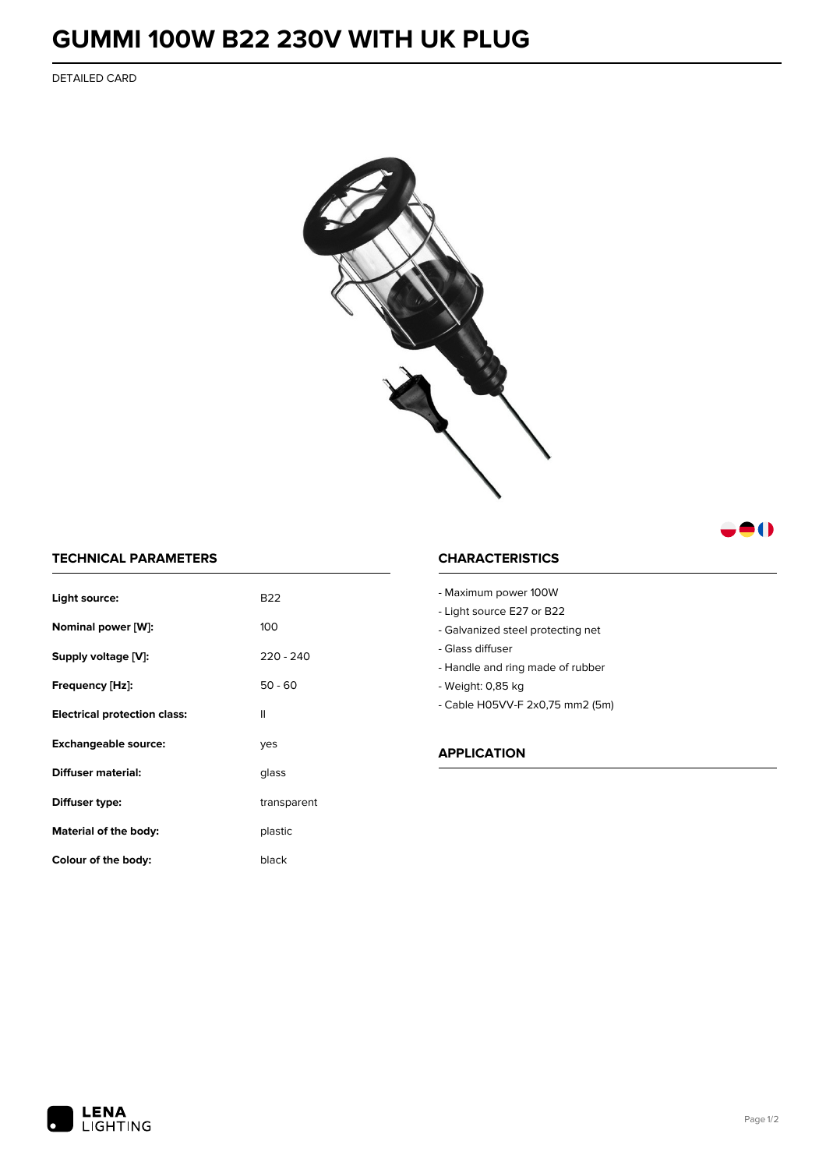## **GUMMI 100W B22 230V WITH UK PLUG**

DETAILED CARD



### 80

#### **TECHNICAL PARAMETERS**

| Light source:                       | B22         |  |
|-------------------------------------|-------------|--|
| Nominal power [W]:                  | 100         |  |
| Supply voltage [V]:                 | 220 - 240   |  |
| Frequency [Hz]:                     | $50 - 60$   |  |
| <b>Electrical protection class:</b> | Ш           |  |
| <b>Exchangeable source:</b>         | ves         |  |
| Diffuser material:                  | glass       |  |
| Diffuser type:                      | transparent |  |
| Material of the body:               | plastic     |  |
| Colour of the body:                 | black       |  |

#### **CHARACTERISTICS**

| - Maximum power 100W      |
|---------------------------|
| - Light source E27 or B22 |

- Galvanized steel protecting net
- Glass diffuser
- Handle and ring made of rubber
- Weight: 0,85 kg
- Cable H05VV-F 2x0,75 mm2 (5m)

#### **APPLICATION**